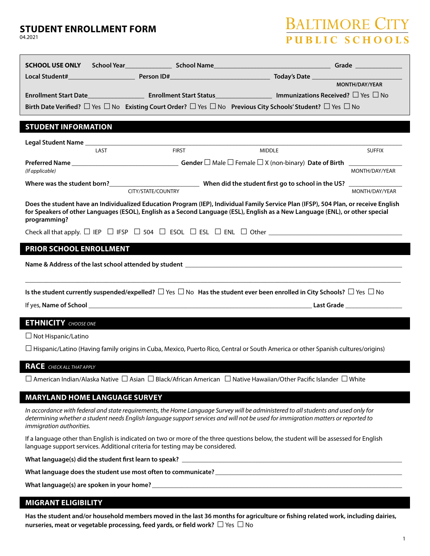### **STUDENT ENROLLMENT FORM**

04.2021

# BALTIMORE CIT PUBLIC SCHOOL

|                                                                                                                                            |                    |                                                                                                                                                                                                                                                                         | MONTH/DAY/YEAR |  |
|--------------------------------------------------------------------------------------------------------------------------------------------|--------------------|-------------------------------------------------------------------------------------------------------------------------------------------------------------------------------------------------------------------------------------------------------------------------|----------------|--|
|                                                                                                                                            |                    | Enrollment Start Date_________________________________Enrollment Start Status_______________________Immunizations Received? $\Box$ Yes $\Box$ No                                                                                                                        |                |  |
|                                                                                                                                            |                    | Birth Date Verified? $\Box$ Yes $\Box$ No Existing Court Order? $\Box$ Yes $\Box$ No Previous City Schools' Student? $\Box$ Yes $\Box$ No                                                                                                                               |                |  |
|                                                                                                                                            |                    |                                                                                                                                                                                                                                                                         |                |  |
| <b>STUDENT INFORMATION</b>                                                                                                                 |                    |                                                                                                                                                                                                                                                                         |                |  |
|                                                                                                                                            |                    |                                                                                                                                                                                                                                                                         |                |  |
| LAST                                                                                                                                       | <b>FIRST</b>       | <b>MIDDLE</b>                                                                                                                                                                                                                                                           | <b>SUFFIX</b>  |  |
|                                                                                                                                            |                    |                                                                                                                                                                                                                                                                         |                |  |
| (If applicable)                                                                                                                            |                    |                                                                                                                                                                                                                                                                         | MONTH/DAY/YEAR |  |
|                                                                                                                                            |                    |                                                                                                                                                                                                                                                                         |                |  |
|                                                                                                                                            | CITY/STATE/COUNTRY |                                                                                                                                                                                                                                                                         | MONTH/DAY/YEAR |  |
|                                                                                                                                            |                    |                                                                                                                                                                                                                                                                         |                |  |
| programming?                                                                                                                               |                    | Does the student have an Individualized Education Program (IEP), Individual Family Service Plan (IFSP), 504 Plan, or receive English<br>for Speakers of other Languages (ESOL), English as a Second Language (ESL), English as a New Language (ENL), or other special   |                |  |
|                                                                                                                                            |                    |                                                                                                                                                                                                                                                                         |                |  |
|                                                                                                                                            |                    |                                                                                                                                                                                                                                                                         |                |  |
| PRIOR SCHOOL ENROLLMENT                                                                                                                    |                    |                                                                                                                                                                                                                                                                         |                |  |
|                                                                                                                                            |                    |                                                                                                                                                                                                                                                                         |                |  |
|                                                                                                                                            |                    |                                                                                                                                                                                                                                                                         |                |  |
|                                                                                                                                            |                    |                                                                                                                                                                                                                                                                         |                |  |
|                                                                                                                                            |                    |                                                                                                                                                                                                                                                                         |                |  |
| Is the student currently suspended/expelled? $\Box$ Yes $\Box$ No Has the student ever been enrolled in City Schools? $\Box$ Yes $\Box$ No |                    |                                                                                                                                                                                                                                                                         |                |  |
|                                                                                                                                            |                    |                                                                                                                                                                                                                                                                         |                |  |
| <b>ETHNICITY</b> CHOOSE ONE                                                                                                                |                    |                                                                                                                                                                                                                                                                         |                |  |
| $\Box$ Not Hispanic/Latino                                                                                                                 |                    |                                                                                                                                                                                                                                                                         |                |  |
|                                                                                                                                            |                    |                                                                                                                                                                                                                                                                         |                |  |
|                                                                                                                                            |                    | $\Box$ Hispanic/Latino (Having family origins in Cuba, Mexico, Puerto Rico, Central or South America or other Spanish cultures/origins)                                                                                                                                 |                |  |
| <b>RACE</b> CHECK ALL THAT APPLY                                                                                                           |                    |                                                                                                                                                                                                                                                                         |                |  |
|                                                                                                                                            |                    |                                                                                                                                                                                                                                                                         |                |  |
|                                                                                                                                            |                    | $□$ American Indian/Alaska Native $□$ Asian $□$ Black/African American $□$ Native Hawaiian/Other Pacific Islander $□$ White                                                                                                                                             |                |  |
| <b>MARYLAND HOME LANGUAGE SURVEY</b>                                                                                                       |                    |                                                                                                                                                                                                                                                                         |                |  |
|                                                                                                                                            |                    |                                                                                                                                                                                                                                                                         |                |  |
| immigration authorities.                                                                                                                   |                    | In accordance with federal and state requirements, the Home Language Survey will be administered to all students and used only for<br>determining whether a student needs English language support services and will not be used for immigration matters or reported to |                |  |

If a language other than English is indicated on two or more of the three questions below, the student will be assessed for English language support services. Additional criteria for testing may be considered.

**What language(s) did the student first learn to speak? \_\_\_\_\_\_\_\_\_\_\_\_\_\_\_\_\_\_\_\_\_\_\_\_\_\_\_\_\_\_\_\_\_\_\_\_\_\_\_\_\_\_\_\_\_\_\_\_\_\_\_\_\_\_\_\_\_\_\_\_\_\_\_\_\_\_**

**What language does the student use most often to communicate? \_\_\_\_\_\_\_\_\_\_\_\_\_\_\_\_\_\_\_\_\_\_\_\_\_\_\_\_\_\_\_\_\_\_\_\_\_\_\_\_\_\_\_\_\_\_\_\_\_\_\_\_\_\_\_\_**

What language(s) are spoken in your home?

### **MIGRANT ELIGIBILITY**

**Has the student and/or household members moved in the last 36 months for agriculture or fishing related work, including dairies, nurseries, meat or vegetable processing, feed yards, or field work? ☐**Yes **☐** No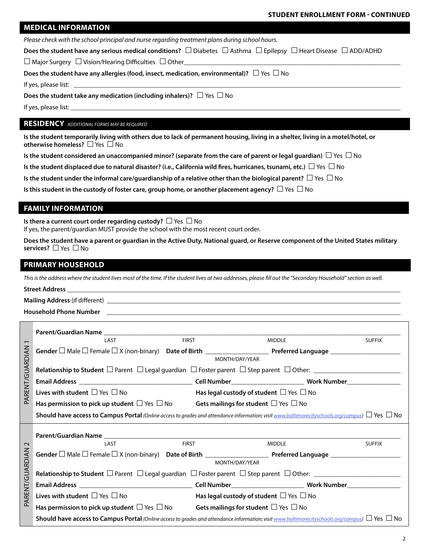#### **STUDENT ENROLLMENT FORM - CONTINUED**

| <b>MEDICAL INFORMATION</b> |
|----------------------------|
|----------------------------|

*Please check with the school principal and nurse regarding treatment plans during school hours.*

**Does the student have any serious medical conditions? ☐** Diabetes **☐** Asthma **☐**Epilepsy **☐** Heart Disease **☐** ADD/ADHD

**☐** Major Surgery **☐**Vision/Hearing Difficulties **☐** Other**\_\_\_\_\_\_\_\_\_\_\_\_\_\_\_\_\_\_\_\_\_\_\_\_\_\_\_\_\_\_\_\_\_\_\_\_\_\_\_\_\_\_\_\_\_\_\_\_\_\_\_\_\_\_\_\_\_\_\_\_\_\_\_\_\_**

**Does the student have any allergies (food, insect, medication, environmental)? ☐**Yes **☐** No

If yes, please list: **\_\_\_\_\_\_\_\_\_\_\_\_\_\_\_\_\_\_\_\_\_\_\_\_\_\_\_\_\_\_\_\_\_\_\_\_\_\_\_\_\_\_\_\_\_\_\_\_\_\_\_\_\_\_\_\_\_\_\_\_\_\_\_\_\_\_\_\_\_\_\_\_\_\_\_\_\_\_\_\_\_\_\_\_\_\_\_\_\_\_\_\_\_\_\_\_\_\_**

**Does the student take any medication (including inhalers)? ☐**Yes **☐** No

If yes, please list:

#### **RESIDENCY** *ADDITIONAL FORMS MAY BE REQUIRED*

**Is the student temporarily living with others due to lack of permanent housing, living in a shelter, living in a motel/hotel, or otherwise homeless? ☐**Yes **☐** No

**Is the student considered an unaccompanied minor? (separate from the care of parent or legal guardian) ☐**Yes **☐** No

**Is the student displaced due to natural disaster? (i.e., California wild fires, hurricanes, tsunami, etc.) ☐**Yes **☐** No

**Is the student under the informal care/guardianship of a relative other than the biological parent? ☐**Yes **☐** No

**Is this student in the custody of foster care, group home, or another placement agency? ☐**Yes **☐** No

### **FAMILY INFORMATION**

**Is there a current court order regarding custody? ☐**Yes **☐** No

If yes, the parent/guardian MUST provide the school with the most recent court order.

**Does the student have a parent or guardian in the Active Duty, National guard, or Reserve component of the United States military services? ☐**Yes **☐** No

### **PRIMARY HOUSEHOLD**

*This is the address where the student lives most of the time. If the student lives at two addresses, please fill out the "Secondary Household" section as well.*

## **Street Address \_\_\_\_\_\_\_\_\_\_\_\_\_\_\_\_\_\_\_\_\_\_\_\_\_\_\_\_\_\_\_\_\_\_\_\_\_\_\_\_\_\_\_\_\_\_\_\_\_\_\_\_\_\_\_\_\_\_\_\_\_\_\_\_\_\_\_\_\_\_\_\_\_\_\_\_\_\_\_\_\_\_\_\_\_\_\_\_\_\_\_\_\_\_\_\_\_\_\_\_ Mailing Address** (if different) **Household Phone Number \_\_\_\_\_\_\_\_\_\_\_\_\_\_\_\_\_\_\_\_\_\_\_\_\_\_\_\_\_\_\_\_\_\_\_\_\_\_\_\_\_\_\_\_\_\_\_\_\_\_\_\_\_\_\_\_\_\_\_\_\_\_\_\_\_\_\_\_\_\_\_\_\_\_\_\_\_\_\_\_\_\_\_\_\_\_\_\_**

|                 | Parent/Guardian Name <b>Example 2018</b>                                                                                                                        |              |                                                   |               |  |
|-----------------|-----------------------------------------------------------------------------------------------------------------------------------------------------------------|--------------|---------------------------------------------------|---------------|--|
| $\overline{ }$  | LAST                                                                                                                                                            | <b>FIRST</b> | <b>MIDDLE</b>                                     | <b>SUFFIX</b> |  |
| PARENT/GUARDIAN |                                                                                                                                                                 |              | MONTH/DAY/YEAR                                    |               |  |
|                 |                                                                                                                                                                 |              |                                                   |               |  |
|                 |                                                                                                                                                                 |              |                                                   |               |  |
|                 | Lives with student $\Box$ Yes $\Box$ No                                                                                                                         |              | Has legal custody of student $\Box$ Yes $\Box$ No |               |  |
|                 | Has permission to pick up student $\Box$ Yes $\Box$ No Gets mailings for student $\Box$ Yes $\Box$ No                                                           |              |                                                   |               |  |
|                 | <b>Should have access to Campus Portal</b> (Online access to grades and attendance information; visit www.baltimorecityschools.org/campus) $\Box$ Yes $\Box$ No |              |                                                   |               |  |
|                 |                                                                                                                                                                 |              |                                                   |               |  |
| $\sim$          | LAST                                                                                                                                                            | <b>FIRST</b> | <b>MIDDLE</b>                                     | <b>SUFFIX</b> |  |
|                 |                                                                                                                                                                 |              |                                                   |               |  |
|                 | MONTH/DAY/YEAR                                                                                                                                                  |              |                                                   |               |  |
|                 |                                                                                                                                                                 |              |                                                   |               |  |
|                 |                                                                                                                                                                 |              |                                                   |               |  |
| PARENT/GUARDIAN | Lives with student $\Box$ Yes $\Box$ No                                                                                                                         |              | Has legal custody of student $\Box$ Yes $\Box$ No |               |  |
|                 | Has permission to pick up student $\Box$ Yes $\Box$ No                                                                                                          |              | Gets mailings for student $\Box$ Yes $\Box$ No    |               |  |
|                 | <b>Should have access to Campus Portal</b> (Online access to grades and attendance information; visit www.baltimorecityschools.org/campus) $\Box$ Yes $\Box$ No |              |                                                   |               |  |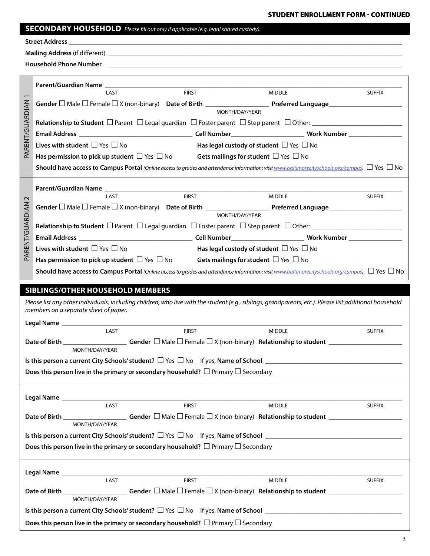**STUDENT ENROLLMENT FORM - CONTINUED**

|  | <b>SECONDARY HOUSEHOLD</b> Please fill out only if applicable (e.g. legal shared custody). |
|--|--------------------------------------------------------------------------------------------|
|--|--------------------------------------------------------------------------------------------|

|                 | <b>FIRST</b><br><b>MIDDLE</b><br>LAST                                                                                                                                                            | <b>SUFFIX</b> |  |  |  |
|-----------------|--------------------------------------------------------------------------------------------------------------------------------------------------------------------------------------------------|---------------|--|--|--|
|                 |                                                                                                                                                                                                  |               |  |  |  |
| RENT/GUARDIAN   | MONTH/DAY/YEAR                                                                                                                                                                                   |               |  |  |  |
|                 |                                                                                                                                                                                                  |               |  |  |  |
|                 |                                                                                                                                                                                                  |               |  |  |  |
|                 | Lives with student $\Box$ Yes $\Box$ No<br>Has legal custody of student $\Box$ Yes $\Box$ No                                                                                                     |               |  |  |  |
| Æ               | Has permission to pick up student $\Box$ Yes $\Box$ No Gets mailings for student $\Box$ Yes $\Box$ No                                                                                            |               |  |  |  |
|                 | <b>Should have access to Campus Portal</b> (Online access to grades and attendance information; visit www.baltimorecityschools.org/campus) $\Box$ Yes $\Box$ No                                  |               |  |  |  |
|                 |                                                                                                                                                                                                  |               |  |  |  |
| $\sim$          | <b>FIRST</b><br>LAST<br><b>MIDDLE</b>                                                                                                                                                            | <b>SUFFIX</b> |  |  |  |
|                 |                                                                                                                                                                                                  |               |  |  |  |
| PARENT/GUARDIAN | MONTH/DAY/YEAR                                                                                                                                                                                   |               |  |  |  |
|                 |                                                                                                                                                                                                  |               |  |  |  |
|                 |                                                                                                                                                                                                  |               |  |  |  |
|                 | Lives with student $\Box$ Yes $\Box$ No<br>Has legal custody of student $\Box$ Yes $\Box$ No                                                                                                     |               |  |  |  |
|                 | Has permission to pick up student $\Box$ Yes $\Box$ No Gets mailings for student $\Box$ Yes $\Box$ No                                                                                            |               |  |  |  |
|                 | <b>Should have access to Campus Portal</b> (Online access to grades and attendance information; visit www.baltimorecityschools.org/campus) $\Box$ Yes $\Box$ No                                  |               |  |  |  |
|                 |                                                                                                                                                                                                  |               |  |  |  |
|                 |                                                                                                                                                                                                  |               |  |  |  |
|                 | <b>SIBLINGS/OTHER HOUSEHOLD MEMBERS</b>                                                                                                                                                          |               |  |  |  |
|                 | Please list any other individuals, including children, who live with the student (e.g., siblings, grandparents, etc.). Please list additional household<br>members on a separate sheet of paper. |               |  |  |  |
|                 | Legal Name _____________                                                                                                                                                                         |               |  |  |  |
|                 | <b>FIRST</b><br>LAST<br><b>MIDDLE</b>                                                                                                                                                            | <b>SUFFIX</b> |  |  |  |
|                 | Date of Birth                                                                                                                                                                                    |               |  |  |  |
|                 | MONTH/DAY/YEAR                                                                                                                                                                                   |               |  |  |  |
|                 |                                                                                                                                                                                                  |               |  |  |  |
|                 | Does this person live in the primary or secondary household? $\Box$ Primary $\Box$ Secondary                                                                                                     |               |  |  |  |
|                 |                                                                                                                                                                                                  |               |  |  |  |
|                 | LAST<br><b>FIRST</b><br><b>MIDDLE</b>                                                                                                                                                            | <b>SUFFIX</b> |  |  |  |
|                 |                                                                                                                                                                                                  |               |  |  |  |
|                 | MONTH/DAY/YEAR                                                                                                                                                                                   |               |  |  |  |
|                 |                                                                                                                                                                                                  |               |  |  |  |
|                 | Does this person live in the primary or secondary household? $\Box$ Primary $\Box$ Secondary                                                                                                     |               |  |  |  |
|                 |                                                                                                                                                                                                  |               |  |  |  |
|                 | Legal Name _____________<br>the control of the control of the control of the control of the control of                                                                                           |               |  |  |  |
|                 | LAST<br><b>FIRST</b><br><b>MIDDLE</b>                                                                                                                                                            | <b>SUFFIX</b> |  |  |  |
|                 | Date of Birth __________________________Gender □ Male □ Female □ X (non-binary) Relationship to student _______________________________<br>MONTH/DAY/YEAR                                        |               |  |  |  |
|                 |                                                                                                                                                                                                  |               |  |  |  |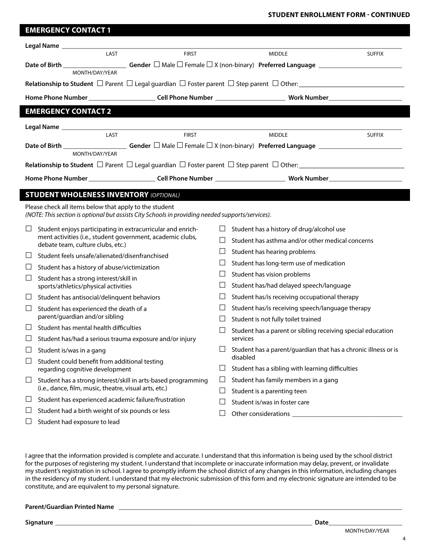|          | <b>EMERGENCY CONTACT 1</b>                                                                                                                                 |              |                                                                            |               |  |
|----------|------------------------------------------------------------------------------------------------------------------------------------------------------------|--------------|----------------------------------------------------------------------------|---------------|--|
|          |                                                                                                                                                            |              |                                                                            |               |  |
|          | LAST                                                                                                                                                       | <b>FIRST</b> | <b>MIDDLE</b>                                                              | <b>SUFFIX</b> |  |
|          |                                                                                                                                                            |              |                                                                            |               |  |
|          | MONTH/DAY/YEAR                                                                                                                                             |              |                                                                            |               |  |
|          |                                                                                                                                                            |              |                                                                            |               |  |
|          |                                                                                                                                                            |              |                                                                            |               |  |
|          | <b>EMERGENCY CONTACT 2</b>                                                                                                                                 |              |                                                                            |               |  |
|          |                                                                                                                                                            |              |                                                                            |               |  |
|          | LAST                                                                                                                                                       | <b>FIRST</b> | <b>MIDDLE</b>                                                              | <b>SUFFIX</b> |  |
|          | MONTH/DAY/YEAR                                                                                                                                             |              |                                                                            |               |  |
|          |                                                                                                                                                            |              |                                                                            |               |  |
|          |                                                                                                                                                            |              |                                                                            |               |  |
|          |                                                                                                                                                            |              |                                                                            |               |  |
|          | <b>STUDENT WHOLENESS INVENTORY (OPTIONAL)</b>                                                                                                              |              |                                                                            |               |  |
|          | Please check all items below that apply to the student<br>(NOTE: This section is optional but assists City Schools in providing needed supports/services). |              |                                                                            |               |  |
| Ц        | Student enjoys participating in extracurricular and enrich-<br>Student has a history of drug/alcohol use<br>ப                                              |              |                                                                            |               |  |
|          | ment activities (i.e., student government, academic clubs,<br>debate team, culture clubs, etc.)                                                            | ΙI           | Student has asthma and/or other medical concerns                           |               |  |
| ப        | Student feels unsafe/alienated/disenfranchised                                                                                                             | ⊔            | Student has hearing problems                                               |               |  |
| ⊔        | Student has a history of abuse/victimization                                                                                                               | ⊔            | Student has long-term use of medication                                    |               |  |
| Ц        | Student has a strong interest/skill in                                                                                                                     | Ш            | Student has vision problems                                                |               |  |
|          | sports/athletics/physical activities                                                                                                                       | ⊔            | Student has/had delayed speech/language                                    |               |  |
| ப        | Student has antisocial/delinquent behaviors                                                                                                                | ⊔            | Student has/is receiving occupational therapy                              |               |  |
| ⊔        | Student has experienced the death of a                                                                                                                     | ப            | Student has/is receiving speech/language therapy                           |               |  |
|          | parent/guardian and/or sibling                                                                                                                             | Ш            | Student is not fully toilet trained                                        |               |  |
| $\Box$   | Student has mental health difficulties                                                                                                                     | $\Box$       | Student has a parent or sibling receiving special education                |               |  |
|          | Student has/had a serious trauma exposure and/or injury                                                                                                    |              | services                                                                   |               |  |
| ப        | Student is/was in a gang                                                                                                                                   | $\Box$       | Student has a parent/guardian that has a chronic illness or is<br>disabled |               |  |
| $\sqcup$ | Student could benefit from additional testing<br>regarding cognitive development                                                                           | $\Box$       | Student has a sibling with learning difficulties                           |               |  |
| ⊔        | Student has a strong interest/skill in arts-based programming                                                                                              | $\Box$       | Student has family members in a gang                                       |               |  |
|          | (i.e., dance, film, music, theatre, visual arts, etc.)                                                                                                     | Ц            | Student is a parenting teen                                                |               |  |
| ⊔        | Student has experienced academic failure/frustration                                                                                                       | □            | Student is/was in foster care                                              |               |  |
| ⊔        | Student had a birth weight of six pounds or less                                                                                                           | ⊔            |                                                                            |               |  |
| ⊔        | Student had exposure to lead                                                                                                                               |              |                                                                            |               |  |

I agree that the information provided is complete and accurate. I understand that this information is being used by the school district for the purposes of registering my student. I understand that incomplete or inaccurate information may delay, prevent, or invalidate my student's registration in school. I agree to promptly inform the school district of any changes in this information, including changes in the residency of my student. I understand that my electronic submission of this form and my electronic signature are intended to be constitute, and are equivalent to my personal signature.

### **Parent/Guardian Printed Name \_\_\_\_\_\_\_\_\_\_\_\_\_\_\_\_\_\_\_\_\_\_\_\_\_\_\_\_\_\_\_\_\_\_\_\_\_\_\_\_\_\_\_\_\_\_\_\_\_\_\_\_\_\_\_\_\_\_\_\_\_\_\_\_\_\_\_\_\_\_\_\_\_\_\_\_\_\_\_\_\_\_\_\_\_**

**Signature Date**